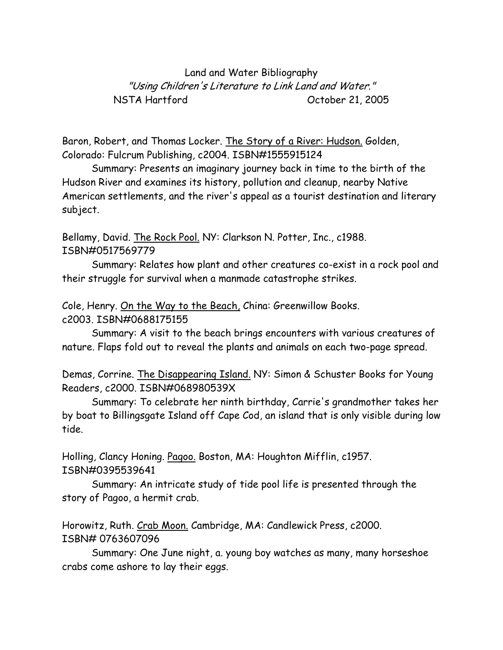Land and Water Bibliography "Using Children's Literature to Link Land and Water." NSTA Hartford October 21, 2005

Baron, Robert, and Thomas Locker. The Story of a River: Hudson. Golden, Colorado: Fulcrum Publishing, c2004. ISBN#1555915124

Summary: Presents an imaginary journey back in time to the birth of the Hudson River and examines its history, pollution and cleanup, nearby Native American settlements, and the river's appeal as a tourist destination and literary subject.

Bellamy, David. The Rock Pool. NY: Clarkson N. Potter, Inc., c1988. ISBN#0517569779

Summary: Relates how plant and other creatures co-exist in a rock pool and their struggle for survival when a manmade catastrophe strikes.

Cole, Henry. On the Way to the Beach, China: Greenwillow Books. c2003. ISBN#0688175155

Summary: A visit to the beach brings encounters with various creatures of nature. Flaps fold out to reveal the plants and animals on each two-page spread.

Demas, Corrine. The Disappearing Island. NY: Simon & Schuster Books for Young Readers, c2000. ISBN#068980539X

Summary: To celebrate her ninth birthday, Carrie's grandmother takes her by boat to Billingsgate Island off Cape Cod, an island that is only visible during low tide.

Holling, Clancy Honing. Pagoo. Boston, MA: Houghton Mifflin, c1957. ISBN#0395539641

Summary: An intricate study of tide pool life is presented through the story of Pagoo, a hermit crab.

Horowitz, Ruth. Crab Moon. Cambridge, MA: Candlewick Press, c2000. ISBN# 0763607096

Summary: One June night, a. young boy watches as many, many horseshoe crabs come ashore to lay their eggs.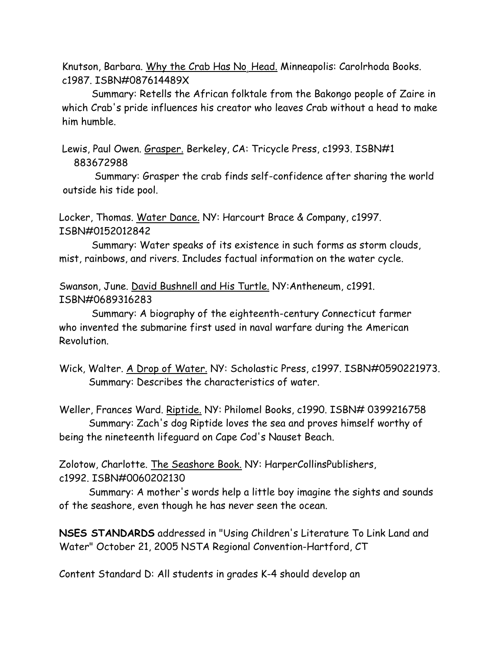Knutson, Barbara. Why the Crab Has No, Head. Minneapolis: Carolrhoda Books. c1987. ISBN#087614489X

Summary: Retells the African folktale from the Bakongo people of Zaire in which Crab's pride influences his creator who leaves Crab without a head to make him humble.

Lewis, Paul Owen. Grasper. Berkeley, CA: Tricycle Press, c1993. ISBN#1 883672988

 Summary: Grasper the crab finds self-confidence after sharing the world outside his tide pool.

Locker, Thomas. Water Dance. NY: Harcourt Brace & Company, c1997. ISBN#0152012842

Summary: Water speaks of its existence in such forms as storm clouds, mist, rainbows, and rivers. Includes factual information on the water cycle.

Swanson, June. David Bushnell and His Turtle. NY:Antheneum, c1991. ISBN#0689316283

Summary: A biography of the eighteenth-century Connecticut farmer who invented the submarine first used in naval warfare during the American Revolution.

Weller, Frances Ward. Riptide. NY: Philomel Books, c1990. ISBN# 0399216758 Summary: Zach's dog Riptide loves the sea and proves himself worthy of being the nineteenth lifeguard on Cape Cod's Nauset Beach.

Zolotow, Charlotte. The Seashore Book. NY: HarperCollinsPublishers, c1992. ISBN#0060202130

 Summary: A mother's words help a little boy imagine the sights and sounds of the seashore, even though he has never seen the ocean.

**NSES STANDARDS** addressed in "Using Children's Literature To Link Land and Water" October 21, 2005 NSTA Regional Convention-Hartford, CT

Content Standard D: All students in grades K-4 should develop an

Wick, Walter. A Drop of Water. NY: Scholastic Press, c1997. ISBN#0590221973. Summary: Describes the characteristics of water.